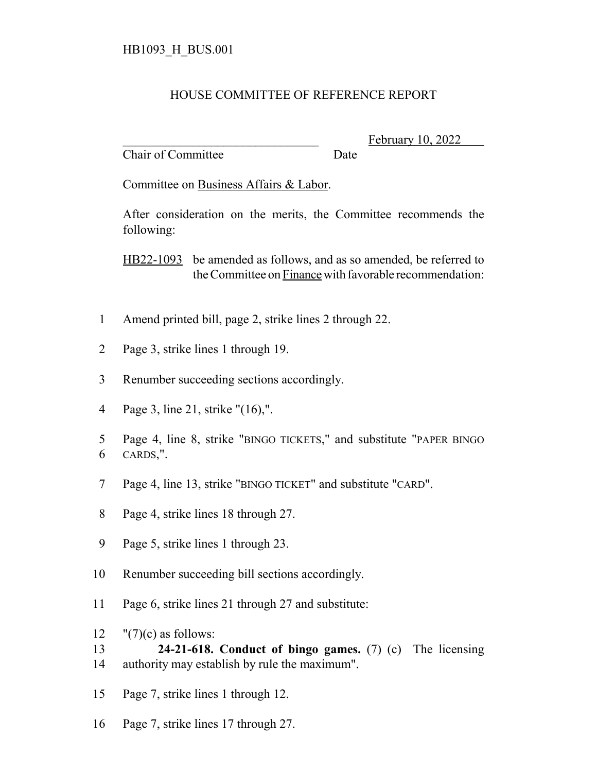## HOUSE COMMITTEE OF REFERENCE REPORT

Chair of Committee Date

February 10, 2022

Committee on Business Affairs & Labor.

After consideration on the merits, the Committee recommends the following:

HB22-1093 be amended as follows, and as so amended, be referred to the Committee on Finance with favorable recommendation:

- 1 Amend printed bill, page 2, strike lines 2 through 22.
- 2 Page 3, strike lines 1 through 19.
- 3 Renumber succeeding sections accordingly.
- 4 Page 3, line 21, strike "(16),".
- 5 Page 4, line 8, strike "BINGO TICKETS," and substitute "PAPER BINGO 6 CARDS,".
- 7 Page 4, line 13, strike "BINGO TICKET" and substitute "CARD".
- 8 Page 4, strike lines 18 through 27.
- 9 Page 5, strike lines 1 through 23.
- 10 Renumber succeeding bill sections accordingly.
- 11 Page 6, strike lines 21 through 27 and substitute:
- 12  $"(7)(c)$  as follows:
- 13 **24-21-618. Conduct of bingo games.** (7) (c) The licensing 14 authority may establish by rule the maximum".
- 15 Page 7, strike lines 1 through 12.
- 16 Page 7, strike lines 17 through 27.